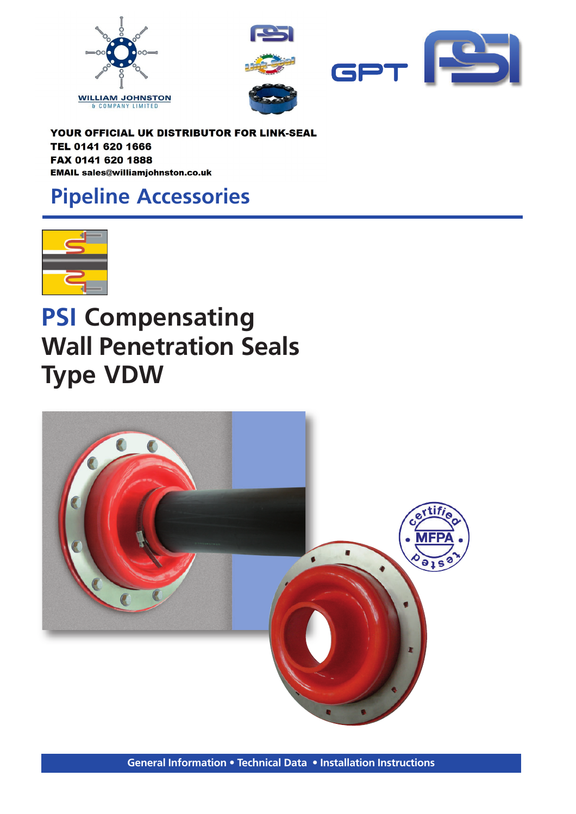



YOUR OFFICIAL UK DISTRIBUTOR FOR LINK-SEAL TEL 0141 620 1666 FAX 0141 620 1888 EMAIL sales@williamjohnston.co.uk

## **Pipeline Accessories**



# **PSI Compensating Wall Penetration Seals Type VDW**

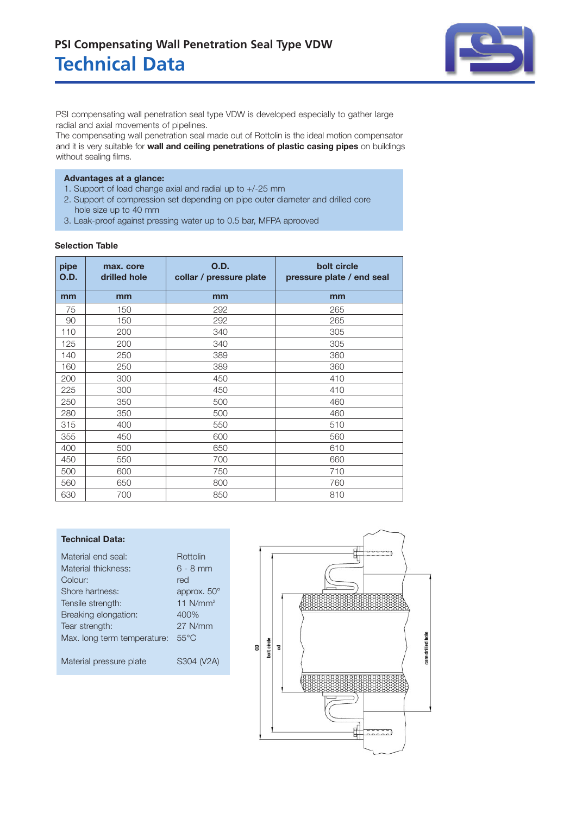### **Technical Data PSI Compensating Wall Penetration Seal Type VDW**



PSI compensating wall penetration seal type VDW is developed especially to gather large radial and axial movements of pipelines.

The compensating wall penetration seal made out of Rottolin is the ideal motion compensator and it is very suitable for **wall and ceiling penetrations of plastic casing pipes** on buildings without sealing films.

#### **Advantages at a glance:**

- 1. Support of load change axial and radial up to +/-25 mm
- 2. Support of compression set depending on pipe outer diameter and drilled core hole size up to 40 mm
- 3. Leak-proof against pressing water up to 0.5 bar, MFPA aprooved

| pipe<br>O.D. | max. core<br>drilled hole | <b>O.D.</b><br>collar / pressure plate | bolt circle<br>pressure plate / end seal |
|--------------|---------------------------|----------------------------------------|------------------------------------------|
| mm           | mm                        | mm                                     | mm                                       |
| 75           | 150                       | 292                                    | 265                                      |
| 90           | 150                       | 292                                    | 265                                      |
| 110          | 200                       | 340                                    | 305                                      |
| 125          | 200                       | 340                                    | 305                                      |
| 140          | 250                       | 389                                    | 360                                      |
| 160          | 250                       | 389                                    | 360                                      |
| 200          | 300                       | 450                                    | 410                                      |
| 225          | 300                       | 450                                    | 410                                      |
| 250          | 350                       | 500                                    | 460                                      |
| 280          | 350                       | 500                                    | 460                                      |
| 315          | 400                       | 550                                    | 510                                      |
| 355          | 450                       | 600                                    | 560                                      |
| 400          | 500                       | 650                                    | 610                                      |
| 450          | 550                       | 700                                    | 660                                      |
| 500          | 600                       | 750                                    | 710                                      |
| 560          | 650                       | 800                                    | 760                                      |
| 630          | 700                       | 850                                    | 810                                      |

#### **Selection Table**

#### **Technical Data:**

| Material end seal:          | Rottolin           |
|-----------------------------|--------------------|
| Material thickness:         | $6 - 8$ mm         |
| Colour:                     | red                |
| Shore hartness:             | approx. $50^\circ$ |
| Tensile strength:           | 11 $N/mm2$         |
| Breaking elongation:        | 400%               |
| Tear strength:              | 27 N/mm            |
| Max. long term temperature: | $55^{\circ}$ C     |
|                             |                    |
| Material pressure plate     | S304 (V2A)         |
|                             |                    |